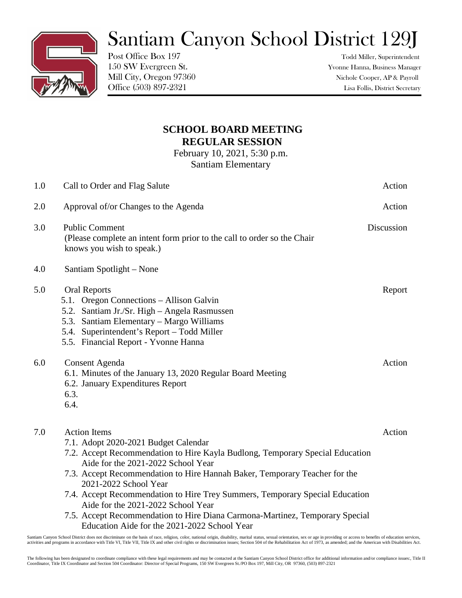## Santiam Canyon School District 129J



Post Office Box 197 Todd Miller, Superintendent

150 SW Evergreen St. Yvonne Hanna, Business Manager Mill City, Oregon 97360 Nichole Cooper, AP & Payroll Office (503) 897-2321 Lisa Follis, District Secretary

## **SCHOOL BOARD MEETING REGULAR SESSION**

February 10, 2021, 5:30 p.m. Santiam Elementary

| 1.0 | Call to Order and Flag Salute                                                                                                                                                                                                                                                                                                                                                                                                                                                                                                                   | Action     |
|-----|-------------------------------------------------------------------------------------------------------------------------------------------------------------------------------------------------------------------------------------------------------------------------------------------------------------------------------------------------------------------------------------------------------------------------------------------------------------------------------------------------------------------------------------------------|------------|
| 2.0 | Approval of/or Changes to the Agenda                                                                                                                                                                                                                                                                                                                                                                                                                                                                                                            | Action     |
| 3.0 | <b>Public Comment</b><br>(Please complete an intent form prior to the call to order so the Chair<br>knows you wish to speak.)                                                                                                                                                                                                                                                                                                                                                                                                                   | Discussion |
| 4.0 | Santiam Spotlight – None                                                                                                                                                                                                                                                                                                                                                                                                                                                                                                                        |            |
| 5.0 | <b>Oral Reports</b><br>5.1. Oregon Connections – Allison Galvin<br>5.2. Santiam Jr./Sr. High - Angela Rasmussen<br>5.3. Santiam Elementary – Margo Williams<br>5.4. Superintendent's Report - Todd Miller<br>5.5. Financial Report - Yvonne Hanna                                                                                                                                                                                                                                                                                               | Report     |
| 6.0 | Consent Agenda<br>6.1. Minutes of the January 13, 2020 Regular Board Meeting<br>6.2. January Expenditures Report<br>6.3.<br>6.4.                                                                                                                                                                                                                                                                                                                                                                                                                | Action     |
| 7.0 | <b>Action Items</b><br>7.1. Adopt 2020-2021 Budget Calendar<br>7.2. Accept Recommendation to Hire Kayla Budlong, Temporary Special Education<br>Aide for the 2021-2022 School Year<br>7.3. Accept Recommendation to Hire Hannah Baker, Temporary Teacher for the<br>2021-2022 School Year<br>7.4. Accept Recommendation to Hire Trey Summers, Temporary Special Education<br>Aide for the 2021-2022 School Year<br>7.5. Accept Recommendation to Hire Diana Carmona-Martinez, Temporary Special<br>Education Aide for the 2021-2022 School Year | Action     |

Santiam Canyon School District does not discriminate on the basis of race, religion, color, national origin, disability, marital status, sexual orientation, sex or age in providing or access to benefits of education servic